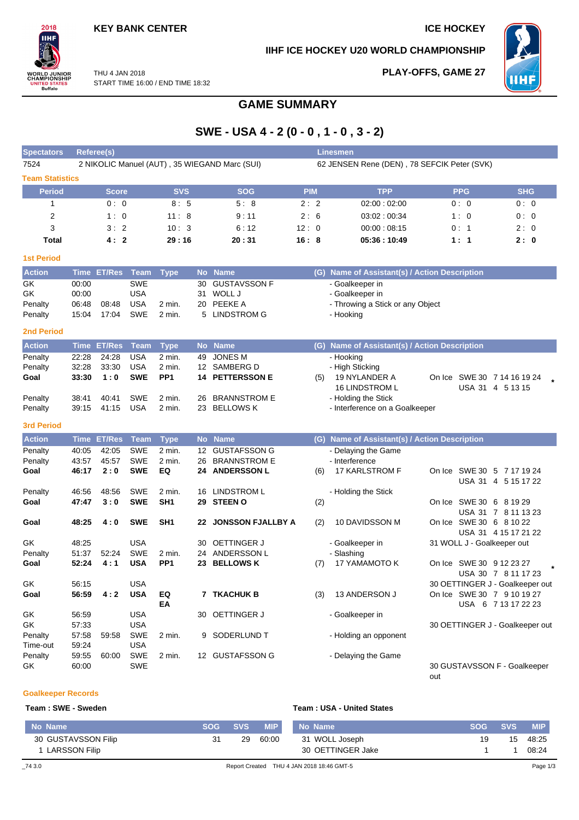## **KEY BANK CENTER ICE HOCKEY**

 $2018$ **IIHF** 

**WORLD JUNIOR<br>CHAMPIONSHIP<br>UNITED STATES<br>Buffalo** 

#### **IIHF ICE HOCKEY U20 WORLD CHAMPIONSHIP**

**PLAY-OFFS, GAME 27**



THU 4 JAN 2018 START TIME 16:00 / END TIME 18:32

## **GAME SUMMARY**

# **SWE - USA 4 - 2 (0 - 0 , 1 - 0 , 3 - 2)**

| <b>Spectators</b>                                          |                                  | <b>Referee(s)</b>     |                                                      |                                       |               |                                                                   |            |     | <b>Linesmen</b>                                                                     |                                                               |                                |
|------------------------------------------------------------|----------------------------------|-----------------------|------------------------------------------------------|---------------------------------------|---------------|-------------------------------------------------------------------|------------|-----|-------------------------------------------------------------------------------------|---------------------------------------------------------------|--------------------------------|
| 7524                                                       |                                  |                       |                                                      |                                       |               | 2 NIKOLIC Manuel (AUT), 35 WIEGAND Marc (SUI)                     |            |     | 62 JENSEN Rene (DEN), 78 SEFCIK Peter (SVK)                                         |                                                               |                                |
| <b>Team Statistics</b>                                     |                                  |                       |                                                      |                                       |               |                                                                   |            |     |                                                                                     |                                                               |                                |
| <b>Period</b>                                              |                                  | <b>Score</b>          |                                                      | <b>SVS</b>                            |               | <b>SOG</b>                                                        | <b>PIM</b> |     | <b>TPP</b>                                                                          | <b>PPG</b>                                                    | <b>SHG</b>                     |
| $\mathbf{1}$                                               |                                  | 0:0                   |                                                      | 8:5                                   |               | 5:8                                                               | 2:2        |     | 02:00:02:00                                                                         | 0:0                                                           | 0:0                            |
| 2                                                          |                                  | 1:0                   |                                                      | 11:8                                  |               | 9:11                                                              | 2:6        |     | 03:02:00:34                                                                         | 1:0                                                           | 0:0                            |
| 3                                                          |                                  | 3:2                   |                                                      | 10:3                                  |               | 6:12                                                              | 12:0       |     | 00:00:08:15                                                                         | 0:1                                                           | 2:0                            |
| Total                                                      |                                  | 4:2                   |                                                      | 29:16                                 |               | 20:31                                                             | 16:8       |     | 05:36:10:49                                                                         | 1:1                                                           | 2:0                            |
| <b>1st Period</b>                                          |                                  |                       |                                                      |                                       |               |                                                                   |            |     |                                                                                     |                                                               |                                |
| <b>Action</b>                                              |                                  | Time ET/Res Team      |                                                      | <b>Type</b>                           |               | No Name                                                           |            |     | (G) Name of Assistant(s) / Action Description                                       |                                                               |                                |
| <b>GK</b><br>GK<br>Penalty<br>Penalty<br><b>2nd Period</b> | 00:00<br>00:00<br>06:48<br>15:04 | 08:48<br>17:04        | <b>SWE</b><br><b>USA</b><br><b>USA</b><br><b>SWE</b> | 2 min.<br>2 min.                      | 30<br>31<br>5 | <b>GUSTAVSSON F</b><br>WOLL J<br>20 PEEKE A<br><b>LINDSTROM G</b> |            |     | - Goalkeeper in<br>- Goalkeeper in<br>- Throwing a Stick or any Object<br>- Hooking |                                                               |                                |
| <b>Action</b>                                              |                                  | Time ET/Res           | <b>Team</b>                                          | <b>Type</b>                           |               | No Name                                                           |            |     | (G) Name of Assistant(s) / Action Description                                       |                                                               |                                |
| Penalty<br>Penalty<br>Goal                                 | 22:28<br>32:28<br>33:30          | 24:28<br>33:30<br>1:0 | <b>USA</b><br><b>USA</b><br><b>SWE</b>               | $2$ min.<br>2 min.<br>PP <sub>1</sub> | 49            | <b>JONES M</b><br>12 SAMBERG D<br><b>14 PETTERSSON E</b>          |            | (5) | - Hooking<br>- High Sticking<br>19 NYLANDER A<br>16 LINDSTROM L                     | On Ice SWE 30 7 14 16 19 24                                   |                                |
| Penalty<br>Penalty                                         | 38:41<br>39:15                   | 40:41<br>41:15        | <b>SWE</b><br><b>USA</b>                             | 2 min.<br>2 min.                      | 26<br>23      | <b>BRANNSTROM E</b><br><b>BELLOWS K</b>                           |            |     | - Holding the Stick<br>- Interference on a Goalkeeper                               |                                                               | USA 31 4 5 13 15               |
| <b>3rd Period</b>                                          |                                  |                       |                                                      |                                       |               |                                                                   |            |     |                                                                                     |                                                               |                                |
| <b>Action</b>                                              |                                  | Time ET/Res           | Team                                                 | <b>Type</b>                           |               | No Name                                                           |            |     | (G) Name of Assistant(s) / Action Description                                       |                                                               |                                |
| Penalty<br>Penalty<br>Goal                                 | 40:05<br>43:57<br>46:17          | 42:05<br>45:57<br>2:0 | SWE<br><b>SWE</b><br><b>SWE</b>                      | 2 min.<br>2 min.<br>EQ                | 26            | 12 GUSTAFSSON G<br><b>BRANNSTROM E</b><br>24 ANDERSSON L          |            | (6) | - Delaying the Game<br>- Interference<br>17 KARLSTROM F                             | On Ice SWE 30 5 7 17 19 24                                    | USA 31 4 5 15 17 22            |
| Penalty<br>Goal                                            | 46:56<br>47:47                   | 48:56<br>3:0          | <b>SWE</b><br><b>SWE</b>                             | 2 min.<br>SH <sub>1</sub>             |               | 16 LINDSTROM L<br>29 STEEN O                                      |            | (2) | - Holding the Stick                                                                 | On Ice SWE 30 6 8 19 29                                       | USA 31 7 8 11 13 23            |
| Goal                                                       | 48:25                            | 4:0                   | <b>SWE</b>                                           | SH <sub>1</sub>                       |               | 22 JONSSON FJALLBY A                                              |            | (2) | 10 DAVIDSSON M                                                                      | On Ice SWE 30 6 8 10 22                                       | USA 31 4 15 17 21 22           |
| GK<br>Penalty<br>Goal                                      | 48:25<br>51:37<br>52:24          | 52:24<br>4:1          | <b>USA</b><br><b>SWE</b><br><b>USA</b>               | 2 min.<br>PP <sub>1</sub>             | 30            | OETTINGER J<br>24 ANDERSSON L<br>23 BELLOWS K                     |            | (7) | - Goalkeeper in<br>- Slashing<br>17 YAMAMOTO K                                      | 31 WOLL J - Goalkeeper out<br>On Ice SWE 30 9 12 23 27        | $\star$<br>USA 30 7 8 11 17 23 |
| GK<br>Goal                                                 | 56:15<br>56:59                   | 4:2                   | <b>USA</b><br><b>USA</b>                             | EQ<br>EA                              |               | 7 TKACHUK B                                                       |            | (3) | 13 ANDERSON J                                                                       | 30 OETTINGER J - Goalkeeper out<br>On Ice SWE 30 7 9 10 19 27 | USA 6 7 13 17 22 23            |
| GK<br>GK<br>Penalty                                        | 56:59<br>57:33<br>57:58          | 59:58                 | <b>USA</b><br><b>USA</b><br>SWE                      | 2 min.                                |               | 30 OETTINGER J<br>9 SODERLUND T                                   |            |     | - Goalkeeper in<br>- Holding an opponent                                            | 30 OETTINGER J - Goalkeeper out                               |                                |
| Time-out<br>Penalty<br>GK                                  | 59:24<br>59:55<br>60:00          | 60:00                 | <b>USA</b><br>SWE<br><b>SWE</b>                      | 2 min.                                |               | 12 GUSTAFSSON G                                                   |            |     | - Delaying the Game                                                                 | 30 GUSTAVSSON F - Goalkeeper<br>out                           |                                |

#### **Goalkeeper Records**

#### **Team : SWE - Sweden Team : USA - United States**

| No Name             | <b>SOG</b> | <b>SVS</b> | <b>MIP</b> | No Name                                   | <b>SOG</b> | <b>SVS</b> | <b>MIP</b> |
|---------------------|------------|------------|------------|-------------------------------------------|------------|------------|------------|
| 30 GUSTAVSSON Filip | 31         | 29         | 60:00      | 31 WOLL Joseph                            | 19         | 15         | 48:25      |
| LARSSON Filip       |            |            |            | 30 OETTINGER Jake                         |            |            | 08:24      |
| $\_743.0$           |            |            |            | Report Created THU 4 JAN 2018 18:46 GMT-5 |            |            | Page 1/3   |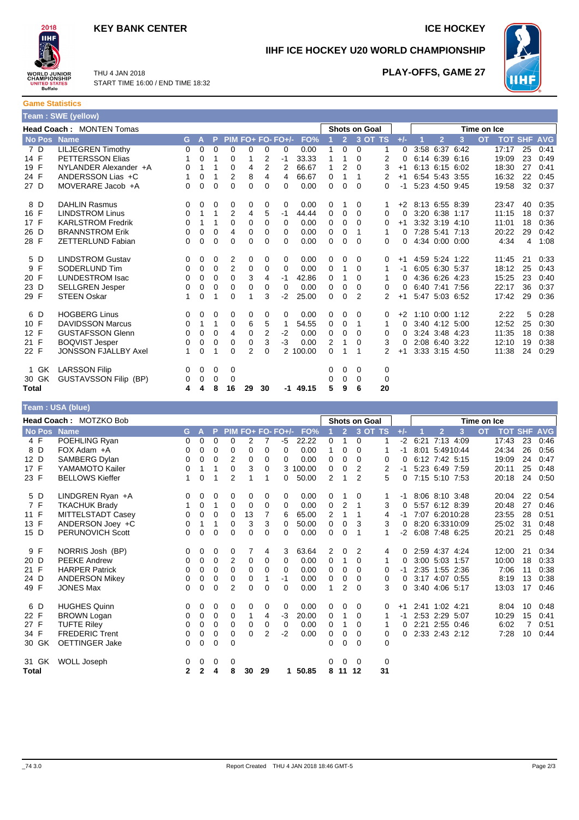## **KEY BANK CENTER ICE HOCKEY**



**IIHF ICE HOCKEY U20 WORLD CHAMPIONSHIP**



THU 4 JAN 2018 START TIME 16:00 / END TIME 18:32

## **PLAY-OFFS, GAME 27**

**Game Statistics Team : SWE (yellow)**

|             | <b>Head Coach: MONTEN Tomas</b> |          |             |   |                |                |                |                   |            |   |                | <b>Shots on Goal</b> |    |          |      |                  |                | Time on Ice |       |                |            |
|-------------|---------------------------------|----------|-------------|---|----------------|----------------|----------------|-------------------|------------|---|----------------|----------------------|----|----------|------|------------------|----------------|-------------|-------|----------------|------------|
| No Pos Name |                                 | G.       | A           | P |                |                |                | PIM FO+ FO- FO+/- | FO%        |   | $\overline{2}$ | 3 OT TS              |    | $+/-$    |      | $\overline{2}$   | 3              | <b>OT</b>   |       | <b>TOT SHF</b> | <b>AVG</b> |
| 7 D         | <b>LILJEGREN Timothy</b>        | $\Omega$ | 0           | 0 | $\mathbf 0$    | 0              | 0              | 0                 | 0.00       | 1 | 0              | 0                    | 1  | $\Omega$ | 3:58 |                  | 6:37 6:42      |             | 17:17 | 25             | 0:41       |
| 14 F        | <b>PETTERSSON Elias</b>         |          | 0           | 1 | 0              | 1              | 2              | $-1$              | 33.33      | 1 | 1              | 0                    | 2  | 0        |      |                  | 6:14 6:39 6:16 |             | 19:09 | 23             | 0:49       |
| 19 F        | NYLANDER Alexander +A           | 0        |             | 1 | 0              | 4              | 2              | 2                 | 66.67      | 1 | 2              | $\Omega$             | 3  | $+1$     |      |                  | 6:13 6:15 6:02 |             | 18:30 | 27             | 0:41       |
| 24 F        | ANDERSSON Lias +C               |          | 0           | 1 | $\overline{2}$ | 8              | 4              | 4                 | 66.67      | 0 | 1              |                      | 2  | $+1$     |      |                  | 6:54 5:43 3:55 |             | 16:32 | 22             | 0:45       |
| 27 D        | MOVERARE Jacob +A               | 0        | 0           | 0 | 0              | 0              | 0              | 0                 | 0.00       | 0 | 0              | $\Omega$             | 0  | $-1$     |      |                  | 5:23 4:50 9:45 |             | 19:58 | 32             | 0:37       |
| 8 D         | <b>DAHLIN Rasmus</b>            | 0        | 0           | 0 | 0              | 0              | 0              | 0                 | 0.00       | 0 |                | 0                    | 1  | $+2$     |      | 8:13 6:55 8:39   |                |             | 23:47 | 40             | 0:35       |
| 16 F        | <b>LINDSTROM Linus</b>          | 0        | 1           | 1 | 2              | 4              | 5              | $-1$              | 44.44      | 0 | 0              | $\Omega$             | 0  | 0        |      | 3:20 6:38 1:17   |                |             | 11:15 | 18             | 0:37       |
| 17 F        | <b>KARLSTROM Fredrik</b>        | 0        | 1           | 1 | 0              | 0              | 0              | 0                 | 0.00       | 0 | 0              | $\mathbf 0$          | 0  | $+1$     |      |                  | 3:32 3:19 4:10 |             | 11:01 | 18             | 0:36       |
| 26 D        | <b>BRANNSTROM Erik</b>          | 0        | 0           | 0 | 4              | 0              | 0              | 0                 | 0.00       | 0 | 0              |                      | 1  | $\Omega$ |      |                  | 7:28 5:41 7:13 |             | 20:22 | 29             | 0:42       |
| 28 F        | <b>ZETTERLUND Fabian</b>        | 0        | 0           | 0 | 0              | 0              | 0              | 0                 | 0.00       | 0 | 0              | $\Omega$             | 0  | 0        |      |                  | 4:34 0:00 0:00 |             | 4:34  | 4              | 1:08       |
| 5 D         | <b>LINDSTROM Gustav</b>         | 0        | 0           | 0 | 2              | 0              | 0              | 0                 | 0.00       | 0 | 0              | 0                    | 0  | $+1$     |      |                  | 4:59 5:24 1:22 |             | 11:45 | 21             | 0:33       |
| F<br>9      | SODERLUND Tim                   | 0        | $\mathbf 0$ | 0 | $\overline{2}$ | 0              | 0              | 0                 | 0.00       | 0 |                | $\Omega$             | 1  | -1       |      | 6:05 6:30 5:37   |                |             | 18:12 | 25             | 0:43       |
| 20 F        | <b>LUNDESTROM Isac</b>          | 0        | 0           | 0 | 0              | 3              | 4              | $-1$              | 42.86      | 0 |                | 0                    |    | 0        |      | 4:36 6:26 4:23   |                |             | 15:25 | 23             | 0:40       |
| 23 D        | <b>SELLGREN Jesper</b>          | 0        | $\mathbf 0$ | 0 | 0              | 0              | 0              | 0                 | 0.00       | 0 | 0              | 0                    | 0  | 0        |      |                  | 6:40 7:41 7:56 |             | 22:17 | 36             | 0:37       |
| 29 F        | <b>STEEN Oskar</b>              | 1        | 0           | 1 | 0              |                | 3              | $-2$              | 25.00      | 0 | 0              | 2                    | 2  | $+1$     |      |                  | 5:47 5:03 6:52 |             | 17:42 | 29             | 0:36       |
| 6 D         | <b>HOGBERG Linus</b>            | 0        | 0           | 0 | 0              | 0              | 0              | 0                 | 0.00       | 0 | 0              | $\Omega$             | 0  | $+2$     |      | $1:10$ 0:00 1:12 |                |             | 2:22  | 5              | 0:28       |
| 10 F        | <b>DAVIDSSON Marcus</b>         | 0        | 1           | 1 | 0              | 6              | 5              | 1                 | 54.55      | 0 | 0              |                      | 1  | 0        |      | 3:40 4:12 5:00   |                |             | 12:52 | 25             | 0:30       |
| 12 F        | <b>GUSTAFSSON Glenn</b>         | 0        | 0           | 0 | 4              | 0              | $\overline{2}$ | $-2$              | 0.00       | 0 | 0              | 0                    | 0  | 0        |      | 3:24 3:48 4:23   |                |             | 11:35 | 18             | 0:38       |
| 21 F        | <b>BOQVIST Jesper</b>           | 0        | 0           | 0 | 0              | 0              | 3              | $-3$              | 0.00       | 2 | 1              | $\Omega$             | 3  | 0        |      | 2:08 6:40 3:22   |                |             | 12:10 | 19             | 0:38       |
| 22 F        | <b>JONSSON FJALLBY Axel</b>     |          | 0           |   | $\Omega$       | $\overline{2}$ | 0              |                   | 2 100.00   | 0 |                |                      | 2  | $+1$     |      |                  | 3:33 3:15 4:50 |             | 11:38 | 24             | 0:29       |
| 1 GK        | <b>LARSSON Filip</b>            | 0        | 0           | 0 | 0              |                |                |                   |            | 0 | 0              | 0                    | 0  |          |      |                  |                |             |       |                |            |
| 30 GK       | <b>GUSTAVSSON Filip (BP)</b>    | 0        | 0           | 0 | 0              |                |                |                   |            | 0 | 0              | 0                    | 0  |          |      |                  |                |             |       |                |            |
| Total       |                                 | 4        | 4           | 8 | 16             | 29             | 30             |                   | $-1$ 49.15 | 5 | 9              | 6                    | 20 |          |      |                  |                |             |       |                |            |

|             | Team: USA (blue)       |          |              |          |                |          |          |                   |          |                |                |                |               |       |      |                     |             |                |    |            |
|-------------|------------------------|----------|--------------|----------|----------------|----------|----------|-------------------|----------|----------------|----------------|----------------|---------------|-------|------|---------------------|-------------|----------------|----|------------|
|             | Head Coach: MOTZKO Bob |          |              |          |                |          |          |                   |          |                |                |                | Shots on Goal |       |      |                     | Time on Ice |                |    |            |
| No Pos Name |                        | G.       | $\mathbf{A}$ | P        |                |          |          | PIM FO+ FO- FO+/- | FO%      |                | $\overline{2}$ |                | 3 OT TS       | $+/-$ |      | 3<br>$\overline{2}$ | <b>OT</b>   | <b>TOT SHF</b> |    | <b>AVG</b> |
| 4 F         | POEHLING Ryan          | 0        | 0            | 0        | 0              | 2        |          | $-5$              | 22.22    | 0              | 1              | 0              |               | -2    | 6:21 | 7:13 4:09           |             | 17:43          | 23 | 0:46       |
| 8 D         | FOX Adam +A            | 0        | 0            | 0        | 0              | 0        | 0        | 0                 | 0.00     | 1              | 0              | $\Omega$       |               | -1    |      | 8:01 5:4910:44      |             | 24:34          | 26 | 0:56       |
| 12 D        | SAMBERG Dylan          | 0        | $\Omega$     | $\Omega$ | 2              | 0        | 0        | $\Omega$          | 0.00     | 0              | 0              | $\Omega$       | 0             | 0     |      | 6:12 7:42 5:15      |             | 19:09          | 24 | 0:47       |
| 17 F        | YAMAMOTO Kailer        | 0        | 1            | 1        | 0              | 3        | 0        |                   | 3 100.00 | 0              | $\mathbf 0$    | 2              | 2             | -1    |      | 5:23 6:49 7:59      |             | 20:11          | 25 | 0:48       |
| 23 F        | <b>BELLOWS Kieffer</b> | 1        | $\Omega$     | 1        | $\overline{2}$ | 1        | 1        | $\Omega$          | 50.00    | 2              | 1              | $\overline{2}$ | 5             | 0     |      | 7:15 5:10 7:53      |             | 20:18          | 24 | 0:50       |
| 5 D         | LINDGREN Ryan +A       | 0        | 0            | 0        | 0              | 0        | 0        | 0                 | 0.00     | 0              | 1              | 0              |               | $-1$  |      | 8:06 8:10 3:48      |             | 20:04          | 22 | 0:54       |
| 7 F         | <b>TKACHUK Brady</b>   | 1        | 0            | 1        | 0              | 0        | 0        | $\Omega$          | 0.00     | $\mathbf 0$    | 2              | 1              | 3             | 0     |      | 5:57 6:12 8:39      |             | 20:48          | 27 | 0:46       |
| 11 F        | MITTELSTADT Casey      | 0        | 0            | 0        | 0              | 13       | 7        | 6                 | 65.00    | 2              | 1              | 1              | 4             | -1    |      | 7:07 6:2010:28      |             | 23:55          | 28 | 0:51       |
| 13 F        | ANDERSON Joey +C       | 0        | 1            | 1        | 0              | 3        | 3        | $\Omega$          | 50.00    | 0              | 0              | 3              | 3             | 0     |      | 8:20 6:3310:09      |             | 25:02          | 31 | 0:48       |
| 15 D        | PERUNOVICH Scott       | $\Omega$ | $\Omega$     | $\Omega$ | $\Omega$       | $\Omega$ | $\Omega$ | $\Omega$          | 0.00     | $\Omega$       | $\Omega$       | 1              | 1             | -2    |      | 6:08 7:48 6:25      |             | 20:21          | 25 | 0:48       |
| 9 F         | NORRIS Josh (BP)       | 0        | 0            | 0        | 0              | 7        | 4        | 3                 | 63.64    | $\overline{2}$ | 0              | 2              | 4             | 0     |      | 2:59 4:37 4:24      |             | 12:00          | 21 | 0:34       |
| 20 D        | <b>PEEKE Andrew</b>    | 0        | 0            | 0        | $\overline{2}$ | 0        | 0        | 0                 | 0.00     | 0              | 1              | 0              | 1             | 0     |      | 3:00 5:03 1:57      |             | 10:00          | 18 | 0:33       |
| 21 F        | <b>HARPER Patrick</b>  | 0        | 0            | 0        | 0              | 0        | $\Omega$ | $\Omega$          | 0.00     | 0              | 0              | $\Omega$       | 0             | -1    |      | 2:35 1:55 2:36      |             | 7:06           | 11 | 0:38       |
| 24 D        | <b>ANDERSON Mikey</b>  | 0        | 0            | 0        | 0              | 0        |          | $-1$              | 0.00     | 0              | $\mathbf 0$    | $\Omega$       | 0             | 0     |      | $3:17$ 4:07<br>0:55 |             | 8:19           | 13 | 0:38       |
| 49 F        | <b>JONES Max</b>       | 0        | 0            | 0        | 2              | 0        | $\Omega$ | 0                 | 0.00     | 1              | 2              | $\Omega$       | 3             | 0     |      | 3:40 4:06 5:17      |             | 13:03          | 17 | 0:46       |
| 6 D         | <b>HUGHES Quinn</b>    | 0        | 0            | 0        | 0              | 0        | 0        | 0                 | 0.00     | 0              | 0              | 0              | 0             | $+1$  |      | 2:41 1:02 4:21      |             | 8:04           | 10 | 0:48       |
| 22 F        | <b>BROWN Logan</b>     | 0        | 0            | 0        | 0              | 1        | 4        | $-3$              | 20.00    | 0              | 1              | $\Omega$       | 1             | -1    |      | 2:53 2:29<br>5:07   |             | 10:29          | 15 | 0:41       |
| 27 F        | <b>TUFTE Riley</b>     | 0        | 0            | 0        | $\Omega$       | 0        | 0        | 0                 | 0.00     | 0              | 1              | 0              |               | 0     |      | 2:21 2:55 0:46      |             | 6:02           | 7  | 0:51       |
| 34 F        | <b>FREDERIC Trent</b>  | 0        | 0            | 0        | 0              | $\Omega$ | 2        | $-2$              | 0.00     | 0              | 0              | 0              | 0             | 0     |      | 2:33 2:43 2:12      |             | 7:28           | 10 | 0:44       |
| 30 GK       | <b>OETTINGER Jake</b>  | 0        | $\Omega$     | $\Omega$ | $\Omega$       |          |          |                   |          | 0              | $\Omega$       | $\Omega$       | 0             |       |      |                     |             |                |    |            |
| 31 GK       | <b>WOLL Joseph</b>     | 0        | 0            | 0        | $\Omega$       |          |          |                   |          | 0              | 0              | 0              | 0             |       |      |                     |             |                |    |            |
| Total       |                        | 2        | $\mathbf{2}$ | 4        | 8              | 30       | 29       | 1                 | 50.85    | 8              | 11             | 12             | 31            |       |      |                     |             |                |    |            |